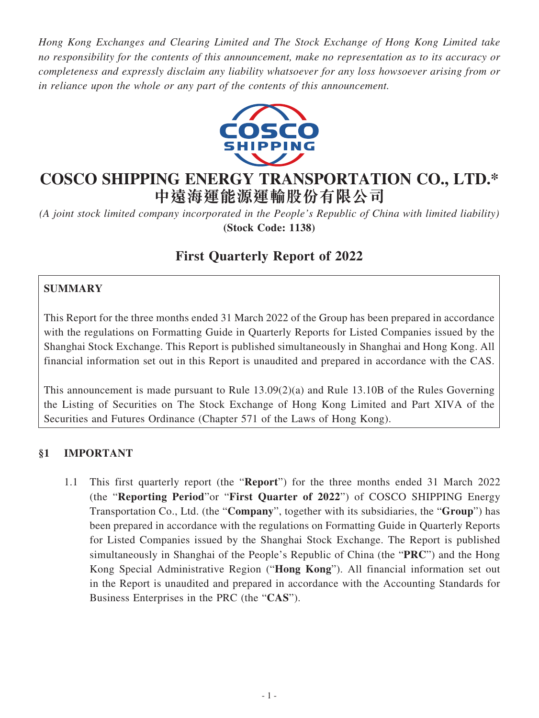*Hong Kong Exchanges and Clearing Limited and The Stock Exchange of Hong Kong Limited take no responsibility for the contents of this announcement, make no representation as to its accuracy or completeness and expressly disclaim any liability whatsoever for any loss howsoever arising from or in reliance upon the whole or any part of the contents of this announcement.*



# **COSCO SHIPPING ENERGY TRANSPORTATION CO., LTD.\* 中遠海運能源運輸股份有限公司**

*(A joint stock limited company incorporated in the People's Republic of China with limited liability)* **(Stock Code: 1138)**

# **First Quarterly Report of 2022**

# **SUMMARY**

This Report for the three months ended 31 March 2022 of the Group has been prepared in accordance with the regulations on Formatting Guide in Quarterly Reports for Listed Companies issued by the Shanghai Stock Exchange. This Report is published simultaneously in Shanghai and Hong Kong. All financial information set out in this Report is unaudited and prepared in accordance with the CAS.

This announcement is made pursuant to Rule 13.09(2)(a) and Rule 13.10B of the Rules Governing the Listing of Securities on The Stock Exchange of Hong Kong Limited and Part XIVA of the Securities and Futures Ordinance (Chapter 571 of the Laws of Hong Kong).

## **§1 IMPORTANT**

1.1 This first quarterly report (the "**Report**") for the three months ended 31 March 2022 (the "**Reporting Period**"or "**First Quarter of 2022**") of COSCO SHIPPING Energy Transportation Co., Ltd. (the "**Company**", together with its subsidiaries, the "**Group**") has been prepared in accordance with the regulations on Formatting Guide in Quarterly Reports for Listed Companies issued by the Shanghai Stock Exchange. The Report is published simultaneously in Shanghai of the People's Republic of China (the "**PRC**") and the Hong Kong Special Administrative Region ("**Hong Kong**"). All financial information set out in the Report is unaudited and prepared in accordance with the Accounting Standards for Business Enterprises in the PRC (the "**CAS**").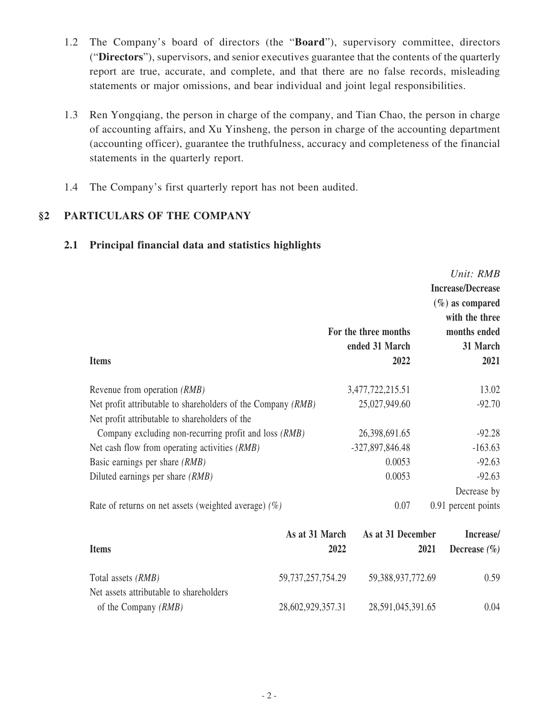- 1.2 The Company's board of directors (the "**Board**"), supervisory committee, directors ("**Directors**"), supervisors, and senior executives guarantee that the contents of the quarterly report are true, accurate, and complete, and that there are no false records, misleading statements or major omissions, and bear individual and joint legal responsibilities.
- 1.3 Ren Yongqiang, the person in charge of the company, and Tian Chao, the person in charge of accounting affairs, and Xu Yinsheng, the person in charge of the accounting department (accounting officer), guarantee the truthfulness, accuracy and completeness of the financial statements in the quarterly report.
- 1.4 The Company's first quarterly report has not been audited.

## **§2 PARTICULARS OF THE COMPANY**

#### **2.1 Principal financial data and statistics highlights**

|                                                              |      |                      |      | Unit: RMB                 |
|--------------------------------------------------------------|------|----------------------|------|---------------------------|
|                                                              |      |                      |      | <b>Increase/Decrease</b>  |
|                                                              |      |                      |      | $(\%)$ as compared        |
|                                                              |      |                      |      | with the three            |
|                                                              |      | For the three months |      | months ended              |
|                                                              |      | ended 31 March       |      | 31 March                  |
| <b>Items</b>                                                 |      | 2022                 |      | 2021                      |
| Revenue from operation <i>(RMB)</i>                          |      | 3,477,722,215.51     |      | 13.02                     |
| Net profit attributable to shareholders of the Company (RMB) |      | 25,027,949.60        |      | $-92.70$                  |
| Net profit attributable to shareholders of the               |      |                      |      |                           |
| Company excluding non-recurring profit and loss (RMB)        |      | 26,398,691.65        |      | $-92.28$                  |
| Net cash flow from operating activities (RMB)                |      | -327,897,846.48      |      | $-163.63$                 |
| Basic earnings per share (RMB)                               |      | 0.0053               |      | $-92.63$                  |
| Diluted earnings per share (RMB)                             |      | 0.0053               |      | $-92.63$                  |
|                                                              |      |                      |      | Decrease by               |
| Rate of returns on net assets (weighted average) $(\%)$      |      | 0.07                 |      | 0.91 percent points       |
| As at 31 March                                               |      | As at 31 December    |      | Increase/                 |
| $I$ tome                                                     | 2022 |                      | 2021 | Dograph $(\mathcal{O}_n)$ |

| <b>Items</b>                                                    | 2022                  | 2021              | Decrease $(\% )$ |
|-----------------------------------------------------------------|-----------------------|-------------------|------------------|
| Total assets <i>(RMB)</i>                                       | 59, 737, 257, 754. 29 | 59,388,937,772.69 | 0.59             |
| Net assets attributable to shareholders<br>of the Company (RMB) | 28,602,929,357.31     | 28,591,045,391.65 | 0.04             |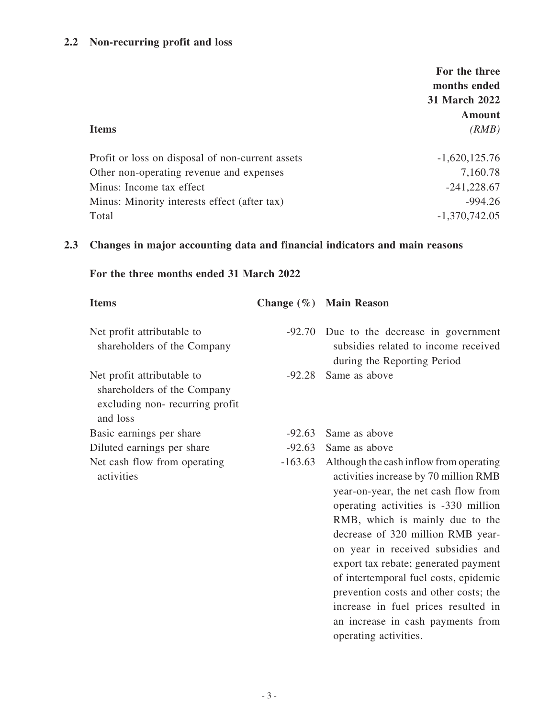#### **2.2 Non-recurring profit and loss**

|                                                  | For the three<br>months ended |
|--------------------------------------------------|-------------------------------|
|                                                  | 31 March 2022                 |
|                                                  | Amount                        |
| <b>Items</b>                                     | (RMB)                         |
| Profit or loss on disposal of non-current assets | $-1,620,125.76$               |
| Other non-operating revenue and expenses         | 7,160.78                      |
| Minus: Income tax effect                         | $-241,228.67$                 |
| Minus: Minority interests effect (after tax)     | $-994.26$                     |
| Total                                            | $-1,370,742.05$               |

#### **2.3 Changes in major accounting data and financial indicators and main reasons**

## **For the three months ended 31 March 2022**

| <b>Items</b>                                                                                            |           | Change (%) Main Reason                                                                                                   |
|---------------------------------------------------------------------------------------------------------|-----------|--------------------------------------------------------------------------------------------------------------------------|
| Net profit attributable to<br>shareholders of the Company                                               |           | -92.70 Due to the decrease in government<br>subsidies related to income received<br>during the Reporting Period          |
| Net profit attributable to<br>shareholders of the Company<br>excluding non-recurring profit<br>and loss | $-92.28$  | Same as above                                                                                                            |
| Basic earnings per share                                                                                | $-92.63$  | Same as above                                                                                                            |
| Diluted earnings per share                                                                              | $-92.63$  | Same as above                                                                                                            |
| Net cash flow from operating<br>activities                                                              | $-163.63$ | Although the cash inflow from operating<br>activities increase by 70 million RMB<br>year-on-year, the net cash flow from |

operating activities is -330 million RMB, which is mainly due to the decrease of 320 million RMB yearon year in received subsidies and export tax rebate; generated payment of intertemporal fuel costs, epidemic prevention costs and other costs; the increase in fuel prices resulted in an increase in cash payments from

operating activities.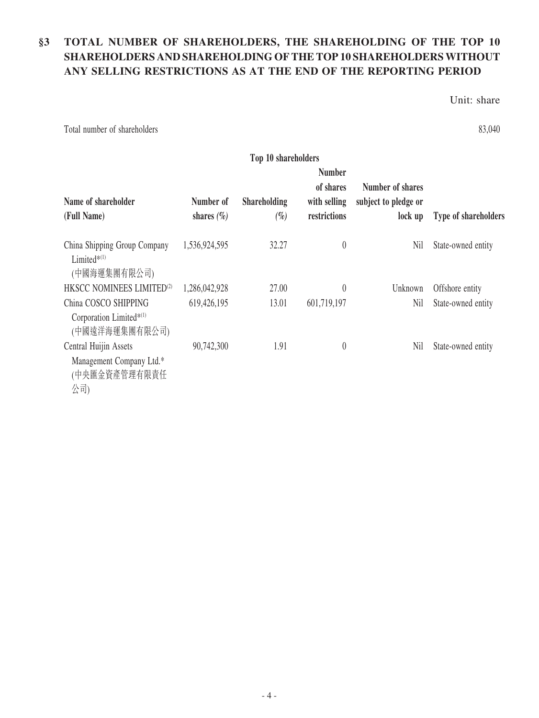# **§3 TOTAL NUMBER OF SHAREHOLDERS, THE SHAREHOLDING OF THE TOP 10 SHAREHOLDERS AND SHAREHOLDING OF THE TOP 10 SHAREHOLDERS WITHOUT ANY SELLING RESTRICTIONS AS AT THE END OF THE REPORTING PERIOD**

Unit: share

Total number of shareholders 83,040

| Top 10 shareholders                                                        |                             |                               |                                                            |                                                     |                      |
|----------------------------------------------------------------------------|-----------------------------|-------------------------------|------------------------------------------------------------|-----------------------------------------------------|----------------------|
| Name of shareholder<br>(Full Name)                                         | Number of<br>shares $(\% )$ | <b>Shareholding</b><br>$(\%)$ | <b>Number</b><br>of shares<br>with selling<br>restrictions | Number of shares<br>subject to pledge or<br>lock up | Type of shareholders |
| China Shipping Group Company<br>Limited $*$ <sup>(1)</sup><br>(中國海運集團有限公司) | 1,536,924,595               | 32.27                         | $\theta$                                                   | Nil                                                 | State-owned entity   |
| HKSCC NOMINEES LIMITED <sup>(2)</sup>                                      | 1,286,042,928               | 27.00                         | $\theta$                                                   | Unknown                                             | Offshore entity      |
| China COSCO SHIPPING<br>Corporation Limited*(1)<br>(中國遠洋海運集團有限公司)          | 619,426,195                 | 13.01                         | 601,719,197                                                | Nil                                                 | State-owned entity   |
| Central Huijin Assets<br>Management Company Ltd.*<br>(中央匯金資產管理有限責任<br>公司)  | 90,742,300                  | 1.91                          | $\theta$                                                   | Nil                                                 | State-owned entity   |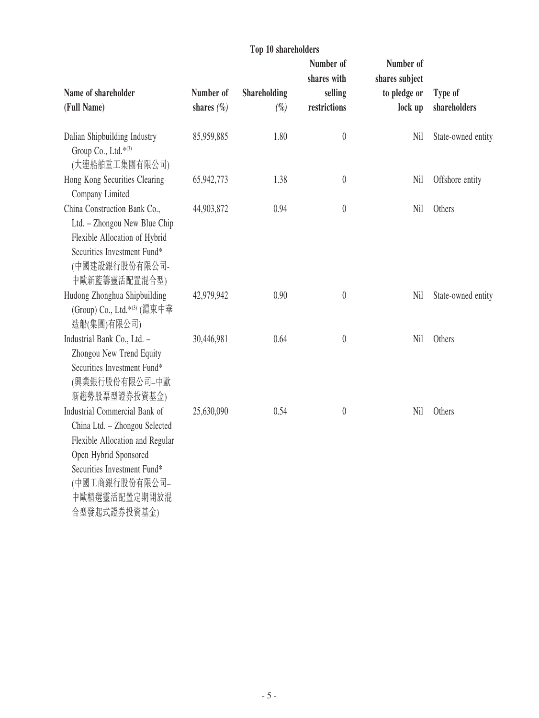|                                                                                                                                                                                                              |                             | Top 10 shareholders           |                                        |                                           |                         |
|--------------------------------------------------------------------------------------------------------------------------------------------------------------------------------------------------------------|-----------------------------|-------------------------------|----------------------------------------|-------------------------------------------|-------------------------|
|                                                                                                                                                                                                              |                             |                               | Number of                              | Number of                                 |                         |
| Name of shareholder<br>(Full Name)                                                                                                                                                                           | Number of<br>shares $(\% )$ | <b>Shareholding</b><br>$(\%)$ | shares with<br>selling<br>restrictions | shares subject<br>to pledge or<br>lock up | Type of<br>shareholders |
| Dalian Shipbuilding Industry<br>Group Co., Ltd.*(3)<br>(大連船舶重工集團有限公司)                                                                                                                                        | 85,959,885                  | 1.80                          | $\begin{matrix} 0 \\ 0 \end{matrix}$   | Nil                                       | State-owned entity      |
| Hong Kong Securities Clearing<br>Company Limited                                                                                                                                                             | 65,942,773                  | 1.38                          | $\boldsymbol{0}$                       | Nil                                       | Offshore entity         |
| China Construction Bank Co.,<br>Ltd. - Zhongou New Blue Chip<br>Flexible Allocation of Hybrid<br>Securities Investment Fund*<br>(中國建設銀行股份有限公司-<br>中歐新藍籌靈活配置混合型)                                              | 44,903,872                  | 0.94                          | $\theta$                               | Nil                                       | Others                  |
| Hudong Zhonghua Shipbuilding<br>(Group) Co., Ltd.* <sup>(3)</sup> (滬東中華<br>造船(集團)有限公司)                                                                                                                       | 42,979,942                  | 0.90                          | $\theta$                               | Nil                                       | State-owned entity      |
| Industrial Bank Co., Ltd. -<br>Zhongou New Trend Equity<br>Securities Investment Fund*<br>(興業銀行股份有限公司–中歐<br>新趨勢股票型證券投資基金)                                                                                    | 30,446,981                  | 0.64                          | $\theta$                               | Nil                                       | Others                  |
| Industrial Commercial Bank of<br>China Ltd. - Zhongou Selected<br>Flexible Allocation and Regular<br>Open Hybrid Sponsored<br>Securities Investment Fund*<br>(中國工商銀行股份有限公司-<br>中歐精選靈活配置定期開放混<br>合型發起式證券投資基金) | 25,630,090                  | 0.54                          | $\theta$                               | Nil                                       | Others                  |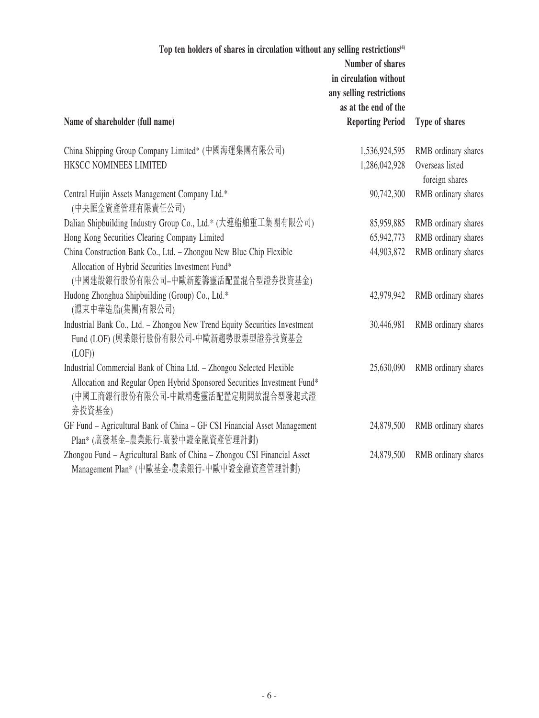| Top ten holders of shares in circulation without any selling restrictions <sup>(4)</sup>                                                                                                        | Number of shares<br>in circulation without<br>any selling restrictions<br>as at the end of the |                                   |
|-------------------------------------------------------------------------------------------------------------------------------------------------------------------------------------------------|------------------------------------------------------------------------------------------------|-----------------------------------|
| Name of shareholder (full name)                                                                                                                                                                 | <b>Reporting Period</b>                                                                        | Type of shares                    |
| China Shipping Group Company Limited* (中國海運集團有限公司)                                                                                                                                              | 1,536,924,595                                                                                  | RMB ordinary shares               |
| HKSCC NOMINEES LIMITED                                                                                                                                                                          | 1,286,042,928                                                                                  | Overseas listed<br>foreign shares |
| Central Huijin Assets Management Company Ltd.*<br>(中央匯金資產管理有限責任公司)                                                                                                                              | 90,742,300                                                                                     | RMB ordinary shares               |
| Dalian Shipbuilding Industry Group Co., Ltd.* (大連船舶重工集團有限公司)                                                                                                                                    | 85,959,885                                                                                     | RMB ordinary shares               |
| Hong Kong Securities Clearing Company Limited                                                                                                                                                   | 65,942,773                                                                                     | RMB ordinary shares               |
| China Construction Bank Co., Ltd. - Zhongou New Blue Chip Flexible<br>Allocation of Hybrid Securities Investment Fund*<br>(中國建設銀行股份有限公司-中歐新藍籌靈活配置混合型證券投資基金)                                     | 44,903,872                                                                                     | RMB ordinary shares               |
| Hudong Zhonghua Shipbuilding (Group) Co., Ltd.*<br>(滬東中華造船(集團)有限公司)                                                                                                                             | 42,979,942                                                                                     | RMB ordinary shares               |
| Industrial Bank Co., Ltd. - Zhongou New Trend Equity Securities Investment<br>Fund (LOF) (興業銀行股份有限公司-中歐新趨勢股票型證券投資基金<br>(LOF))                                                                   | 30,446,981                                                                                     | RMB ordinary shares               |
| Industrial Commercial Bank of China Ltd. - Zhongou Selected Flexible<br>Allocation and Regular Open Hybrid Sponsored Securities Investment Fund*<br>(中國工商銀行股份有限公司-中歐精選靈活配置定期開放混合型發起式證<br>券投資基金) | 25,630,090                                                                                     | RMB ordinary shares               |
| GF Fund - Agricultural Bank of China - GF CSI Financial Asset Management<br>Plan* (廣發基金-農業銀行-廣發中證金融資產管理計劃)                                                                                      | 24,879,500                                                                                     | RMB ordinary shares               |
| Zhongou Fund - Agricultural Bank of China - Zhongou CSI Financial Asset<br>Management Plan* (中歐基金-農業銀行-中歐中證金融資產管理計劃)                                                                            | 24,879,500                                                                                     | RMB ordinary shares               |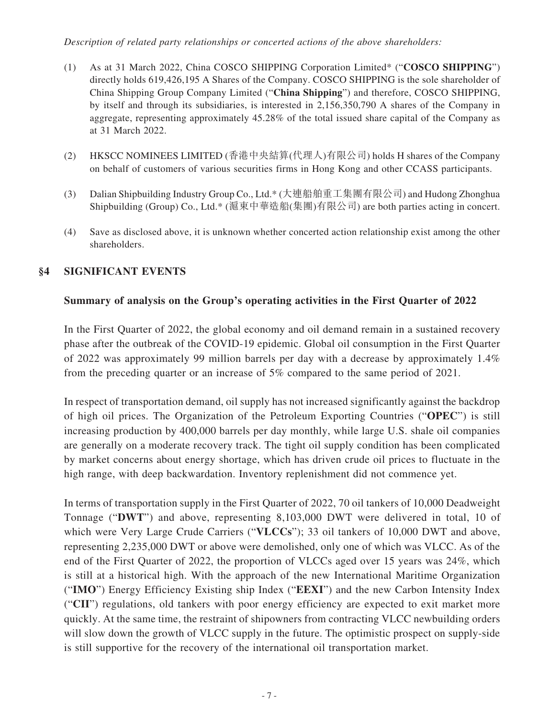#### *Description of related party relationships or concerted actions of the above shareholders:*

- (1) As at 31 March 2022, China COSCO SHIPPING Corporation Limited\* ("**COSCO SHIPPING**") directly holds 619,426,195 A Shares of the Company. COSCO SHIPPING is the sole shareholder of China Shipping Group Company Limited ("**China Shipping**") and therefore, COSCO SHIPPING, by itself and through its subsidiaries, is interested in 2,156,350,790 A shares of the Company in aggregate, representing approximately 45.28% of the total issued share capital of the Company as at 31 March 2022.
- (2) HKSCC NOMINEES LIMITED (香港中央結算(代理人)有限公司) holds H shares of the Company on behalf of customers of various securities firms in Hong Kong and other CCASS participants.
- (3) Dalian Shipbuilding Industry Group Co., Ltd.\* (大連船舶重工集團有限公司) and Hudong Zhonghua Shipbuilding (Group) Co., Ltd.\* (滬東中華造船(集團)有限公司) are both parties acting in concert.
- (4) Save as disclosed above, it is unknown whether concerted action relationship exist among the other shareholders.

### **§4 SIGNIFICANT EVENTS**

#### **Summary of analysis on the Group's operating activities in the First Quarter of 2022**

In the First Quarter of 2022, the global economy and oil demand remain in a sustained recovery phase after the outbreak of the COVID-19 epidemic. Global oil consumption in the First Quarter of 2022 was approximately 99 million barrels per day with a decrease by approximately 1.4% from the preceding quarter or an increase of 5% compared to the same period of 2021.

In respect of transportation demand, oil supply has not increased significantly against the backdrop of high oil prices. The Organization of the Petroleum Exporting Countries ("**OPEC**") is still increasing production by 400,000 barrels per day monthly, while large U.S. shale oil companies are generally on a moderate recovery track. The tight oil supply condition has been complicated by market concerns about energy shortage, which has driven crude oil prices to fluctuate in the high range, with deep backwardation. Inventory replenishment did not commence yet.

In terms of transportation supply in the First Quarter of 2022, 70 oil tankers of 10,000 Deadweight Tonnage ("**DWT**") and above, representing 8,103,000 DWT were delivered in total, 10 of which were Very Large Crude Carriers ("**VLCCs**"); 33 oil tankers of 10,000 DWT and above, representing 2,235,000 DWT or above were demolished, only one of which was VLCC. As of the end of the First Quarter of 2022, the proportion of VLCCs aged over 15 years was 24%, which is still at a historical high. With the approach of the new International Maritime Organization ("**IMO**") Energy Efficiency Existing ship Index ("**EEXI**") and the new Carbon Intensity Index ("**CII**") regulations, old tankers with poor energy efficiency are expected to exit market more quickly. At the same time, the restraint of shipowners from contracting VLCC newbuilding orders will slow down the growth of VLCC supply in the future. The optimistic prospect on supply-side is still supportive for the recovery of the international oil transportation market.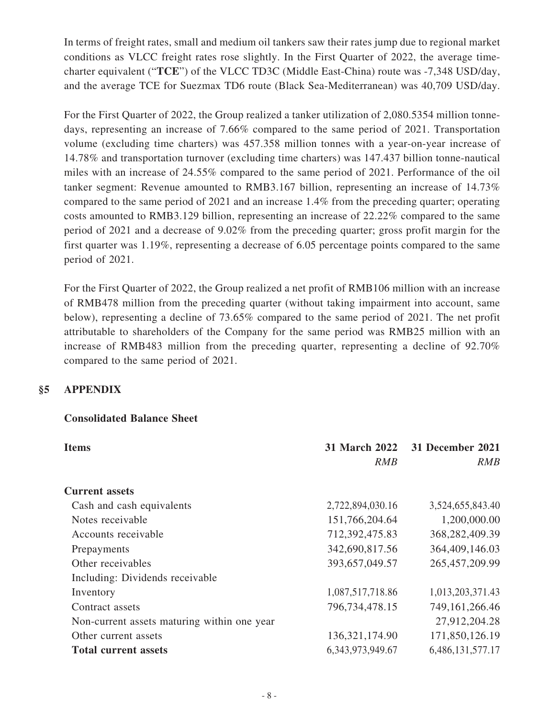In terms of freight rates, small and medium oil tankers saw their rates jump due to regional market conditions as VLCC freight rates rose slightly. In the First Quarter of 2022, the average timecharter equivalent ("**TCE**") of the VLCC TD3C (Middle East-China) route was -7,348 USD/day, and the average TCE for Suezmax TD6 route (Black Sea-Mediterranean) was 40,709 USD/day.

For the First Quarter of 2022, the Group realized a tanker utilization of 2,080.5354 million tonnedays, representing an increase of 7.66% compared to the same period of 2021. Transportation volume (excluding time charters) was 457.358 million tonnes with a year-on-year increase of 14.78% and transportation turnover (excluding time charters) was 147.437 billion tonne-nautical miles with an increase of 24.55% compared to the same period of 2021. Performance of the oil tanker segment: Revenue amounted to RMB3.167 billion, representing an increase of 14.73% compared to the same period of 2021 and an increase 1.4% from the preceding quarter; operating costs amounted to RMB3.129 billion, representing an increase of 22.22% compared to the same period of 2021 and a decrease of 9.02% from the preceding quarter; gross profit margin for the first quarter was 1.19%, representing a decrease of 6.05 percentage points compared to the same period of 2021.

For the First Quarter of 2022, the Group realized a net profit of RMB106 million with an increase of RMB478 million from the preceding quarter (without taking impairment into account, same below), representing a decline of 73.65% compared to the same period of 2021. The net profit attributable to shareholders of the Company for the same period was RMB25 million with an increase of RMB483 million from the preceding quarter, representing a decline of 92.70% compared to the same period of 2021.

## **§5 APPENDIX**

#### **Consolidated Balance Sheet**

| <b>Items</b>                                | <b>31 March 2022</b> | 31 December 2021  |  |
|---------------------------------------------|----------------------|-------------------|--|
|                                             | <b>RMB</b>           | <b>RMB</b>        |  |
| <b>Current assets</b>                       |                      |                   |  |
| Cash and cash equivalents                   | 2,722,894,030.16     | 3,524,655,843.40  |  |
| Notes receivable                            | 151,766,204.64       | 1,200,000.00      |  |
| Accounts receivable                         | 712,392,475.83       | 368, 282, 409. 39 |  |
| Prepayments                                 | 342,690,817.56       | 364,409,146.03    |  |
| Other receivables                           | 393,657,049.57       | 265,457,209.99    |  |
| Including: Dividends receivable             |                      |                   |  |
| Inventory                                   | 1,087,517,718.86     | 1,013,203,371.43  |  |
| Contract assets                             | 796,734,478.15       | 749, 161, 266. 46 |  |
| Non-current assets maturing within one year |                      | 27,912,204.28     |  |
| Other current assets                        | 136, 321, 174. 90    | 171,850,126.19    |  |
| <b>Total current assets</b>                 | 6,343,973,949.67     | 6,486,131,577.17  |  |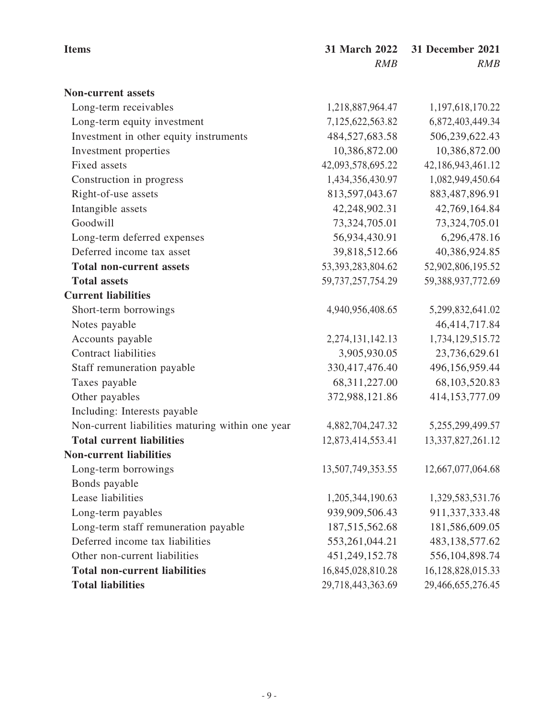| <b>Items</b>                                     | 31 March 2022         | <b>31 December 2021</b> |
|--------------------------------------------------|-----------------------|-------------------------|
|                                                  | RMB                   | RMB                     |
| <b>Non-current assets</b>                        |                       |                         |
| Long-term receivables                            | 1,218,887,964.47      | 1,197,618,170.22        |
| Long-term equity investment                      | 7,125,622,563.82      | 6,872,403,449.34        |
| Investment in other equity instruments           | 484,527,683.58        | 506,239,622.43          |
| Investment properties                            | 10,386,872.00         | 10,386,872.00           |
| Fixed assets                                     | 42,093,578,695.22     | 42,186,943,461.12       |
| Construction in progress                         | 1,434,356,430.97      | 1,082,949,450.64        |
| Right-of-use assets                              | 813,597,043.67        | 883,487,896.91          |
| Intangible assets                                | 42,248,902.31         | 42,769,164.84           |
| Goodwill                                         | 73,324,705.01         | 73,324,705.01           |
| Long-term deferred expenses                      | 56,934,430.91         | 6,296,478.16            |
| Deferred income tax asset                        | 39,818,512.66         | 40,386,924.85           |
| <b>Total non-current assets</b>                  | 53, 393, 283, 804. 62 | 52,902,806,195.52       |
| <b>Total assets</b>                              | 59, 737, 257, 754. 29 | 59,388,937,772.69       |
| <b>Current liabilities</b>                       |                       |                         |
| Short-term borrowings                            | 4,940,956,408.65      | 5,299,832,641.02        |
| Notes payable                                    |                       | 46,414,717.84           |
| Accounts payable                                 | 2,274,131,142.13      | 1,734,129,515.72        |
| <b>Contract liabilities</b>                      | 3,905,930.05          | 23,736,629.61           |
| Staff remuneration payable                       | 330,417,476.40        | 496,156,959.44          |
| Taxes payable                                    | 68,311,227.00         | 68,103,520.83           |
| Other payables                                   | 372,988,121.86        | 414,153,777.09          |
| Including: Interests payable                     |                       |                         |
| Non-current liabilities maturing within one year | 4,882,704,247.32      | 5,255,299,499.57        |
| <b>Total current liabilities</b>                 | 12,873,414,553.41     | 13,337,827,261.12       |
| <b>Non-current liabilities</b>                   |                       |                         |
| Long-term borrowings                             | 13,507,749,353.55     | 12,667,077,064.68       |
| Bonds payable                                    |                       |                         |
| Lease liabilities                                | 1,205,344,190.63      | 1,329,583,531.76        |
| Long-term payables                               | 939,909,506.43        | 911,337,333.48          |
| Long-term staff remuneration payable             | 187, 515, 562. 68     | 181,586,609.05          |
| Deferred income tax liabilities                  | 553, 261, 044. 21     | 483,138,577.62          |
| Other non-current liabilities                    | 451,249,152.78        | 556,104,898.74          |
| <b>Total non-current liabilities</b>             | 16,845,028,810.28     | 16,128,828,015.33       |
| <b>Total liabilities</b>                         | 29,718,443,363.69     | 29,466,655,276.45       |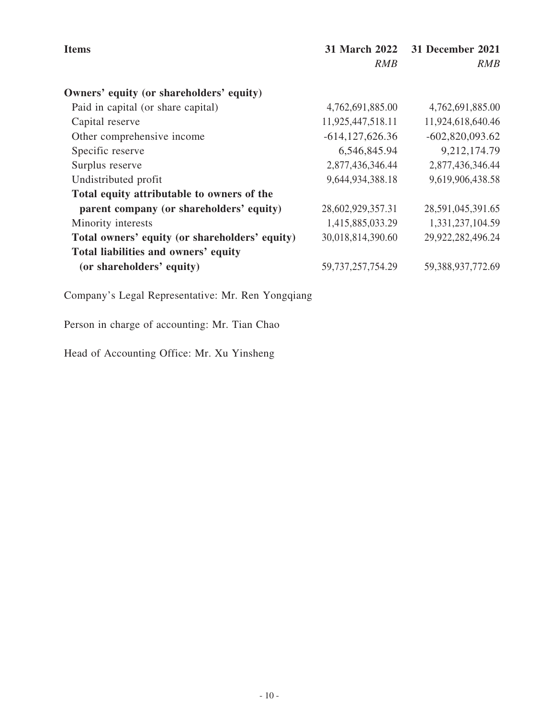| <b>Items</b>                                   | <b>31 March 2022</b><br><b>RMB</b> | 31 December 2021<br><b>RMB</b> |
|------------------------------------------------|------------------------------------|--------------------------------|
| Owners' equity (or shareholders' equity)       |                                    |                                |
| Paid in capital (or share capital)             | 4,762,691,885.00                   | 4,762,691,885.00               |
| Capital reserve                                | 11,925,447,518.11                  | 11,924,618,640.46              |
| Other comprehensive income                     | $-614, 127, 626.36$                | $-602,820,093.62$              |
| Specific reserve                               | 6,546,845.94                       | 9,212,174.79                   |
| Surplus reserve                                | 2,877,436,346.44                   | 2,877,436,346.44               |
| Undistributed profit                           | 9,644,934,388.18                   | 9,619,906,438.58               |
| Total equity attributable to owners of the     |                                    |                                |
| parent company (or shareholders' equity)       | 28,602,929,357.31                  | 28,591,045,391.65              |
| Minority interests                             | 1,415,885,033.29                   | 1,331,237,104.59               |
| Total owners' equity (or shareholders' equity) | 30,018,814,390.60                  | 29,922,282,496.24              |
| Total liabilities and owners' equity           |                                    |                                |
| (or shareholders' equity)                      | 59, 737, 257, 754. 29              | 59,388,937,772.69              |

Person in charge of accounting: Mr. Tian Chao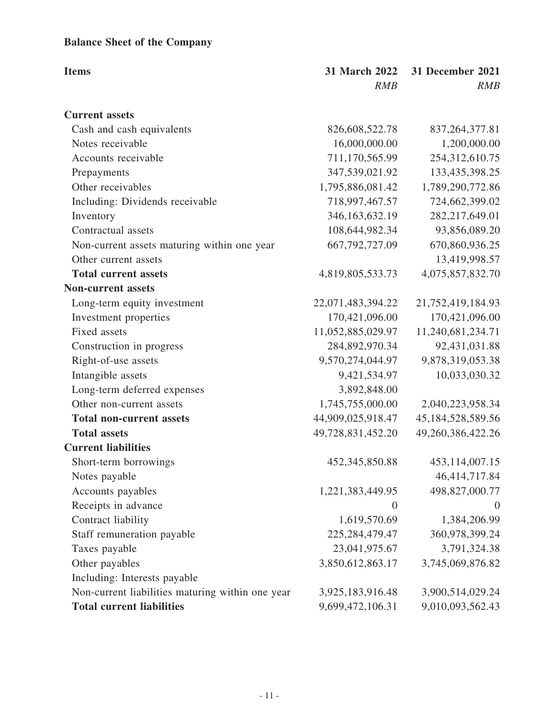# **Balance Sheet of the Company**

| <b>Items</b>                                     | 31 March 2022     | 31 December 2021  |
|--------------------------------------------------|-------------------|-------------------|
|                                                  | RMB               | RMB               |
| <b>Current assets</b>                            |                   |                   |
| Cash and cash equivalents                        | 826,608,522.78    | 837, 264, 377.81  |
| Notes receivable                                 | 16,000,000.00     | 1,200,000.00      |
| Accounts receivable                              | 711,170,565.99    | 254,312,610.75    |
| Prepayments                                      | 347,539,021.92    | 133,435,398.25    |
| Other receivables                                | 1,795,886,081.42  | 1,789,290,772.86  |
| Including: Dividends receivable                  | 718,997,467.57    | 724,662,399.02    |
| Inventory                                        | 346, 163, 632. 19 | 282, 217, 649. 01 |
| Contractual assets                               | 108,644,982.34    | 93,856,089.20     |
| Non-current assets maturing within one year      | 667, 792, 727.09  | 670,860,936.25    |
| Other current assets                             |                   | 13,419,998.57     |
| <b>Total current assets</b>                      | 4,819,805,533.73  | 4,075,857,832.70  |
| <b>Non-current assets</b>                        |                   |                   |
| Long-term equity investment                      | 22,071,483,394.22 | 21,752,419,184.93 |
| Investment properties                            | 170,421,096.00    | 170,421,096.00    |
| Fixed assets                                     | 11,052,885,029.97 | 11,240,681,234.71 |
| Construction in progress                         | 284,892,970.34    | 92,431,031.88     |
| Right-of-use assets                              | 9,570,274,044.97  | 9,878,319,053.38  |
| Intangible assets                                | 9,421,534.97      | 10,033,030.32     |
| Long-term deferred expenses                      | 3,892,848.00      |                   |
| Other non-current assets                         | 1,745,755,000.00  | 2,040,223,958.34  |
| <b>Total non-current assets</b>                  | 44,909,025,918.47 | 45,184,528,589.56 |
| <b>Total assets</b>                              | 49,728,831,452.20 | 49,260,386,422.26 |
| <b>Current liabilities</b>                       |                   |                   |
| Short-term borrowings                            | 452, 345, 850. 88 | 453,114,007.15    |
| Notes payable                                    |                   | 46, 414, 717. 84  |
| Accounts payables                                | 1,221,383,449.95  | 498,827,000.77    |
| Receipts in advance                              | $\boldsymbol{0}$  | $\theta$          |
| Contract liability                               | 1,619,570.69      | 1,384,206.99      |
| Staff remuneration payable                       | 225, 284, 479. 47 | 360,978,399.24    |
| Taxes payable                                    | 23,041,975.67     | 3,791,324.38      |
| Other payables                                   | 3,850,612,863.17  | 3,745,069,876.82  |
| Including: Interests payable                     |                   |                   |
| Non-current liabilities maturing within one year | 3,925,183,916.48  | 3,900,514,029.24  |
| <b>Total current liabilities</b>                 | 9,699,472,106.31  | 9,010,093,562.43  |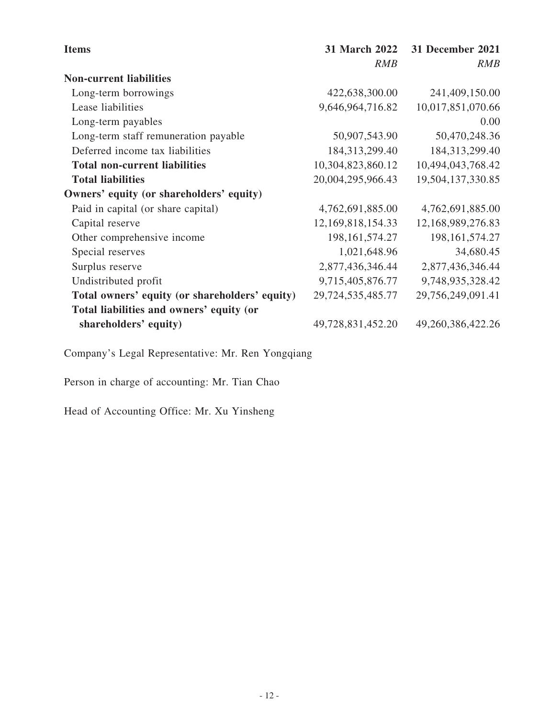| <b>Items</b>                                   | <b>31 March 2022</b> | 31 December 2021  |
|------------------------------------------------|----------------------|-------------------|
|                                                | <b>RMB</b>           | <b>RMB</b>        |
| <b>Non-current liabilities</b>                 |                      |                   |
| Long-term borrowings                           | 422,638,300.00       | 241,409,150.00    |
| Lease liabilities                              | 9,646,964,716.82     | 10,017,851,070.66 |
| Long-term payables                             |                      | 0.00              |
| Long-term staff remuneration payable           | 50,907,543.90        | 50,470,248.36     |
| Deferred income tax liabilities                | 184, 313, 299. 40    | 184,313,299.40    |
| <b>Total non-current liabilities</b>           | 10,304,823,860.12    | 10,494,043,768.42 |
| <b>Total liabilities</b>                       | 20,004,295,966.43    | 19,504,137,330.85 |
| Owners' equity (or shareholders' equity)       |                      |                   |
| Paid in capital (or share capital)             | 4,762,691,885.00     | 4,762,691,885.00  |
| Capital reserve                                | 12,169,818,154.33    | 12,168,989,276.83 |
| Other comprehensive income                     | 198, 161, 574. 27    | 198, 161, 574. 27 |
| Special reserves                               | 1,021,648.96         | 34,680.45         |
| Surplus reserve                                | 2,877,436,346.44     | 2,877,436,346.44  |
| Undistributed profit                           | 9,715,405,876.77     | 9,748,935,328.42  |
| Total owners' equity (or shareholders' equity) | 29,724,535,485.77    | 29,756,249,091.41 |
| Total liabilities and owners' equity (or       |                      |                   |
| shareholders' equity)                          | 49,728,831,452.20    | 49,260,386,422.26 |

Person in charge of accounting: Mr. Tian Chao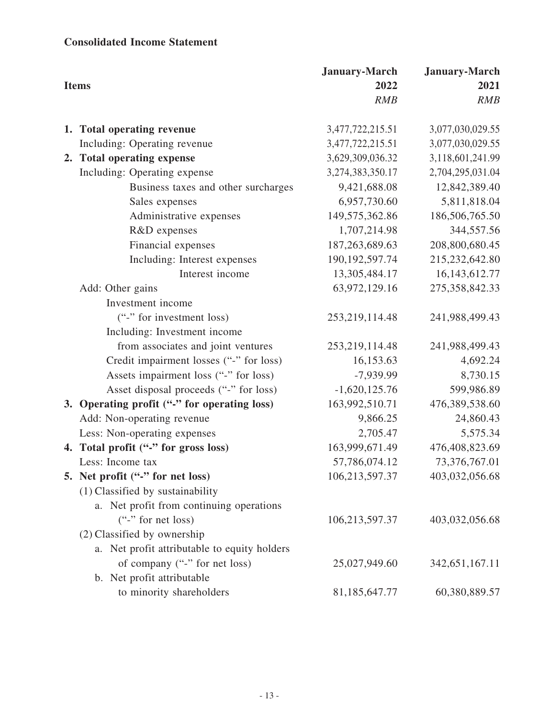# **Consolidated Income Statement**

| <b>Items</b> |                                              | <b>January-March</b><br>2022 | <b>January-March</b><br>2021 |
|--------------|----------------------------------------------|------------------------------|------------------------------|
|              |                                              | <b>RMB</b>                   | <b>RMB</b>                   |
|              | 1. Total operating revenue                   | 3,477,722,215.51             | 3,077,030,029.55             |
|              | Including: Operating revenue                 | 3,477,722,215.51             | 3,077,030,029.55             |
|              | 2. Total operating expense                   | 3,629,309,036.32             | 3,118,601,241.99             |
|              | Including: Operating expense                 | 3,274,383,350.17             | 2,704,295,031.04             |
|              | Business taxes and other surcharges          | 9,421,688.08                 | 12,842,389.40                |
|              | Sales expenses                               | 6,957,730.60                 | 5,811,818.04                 |
|              | Administrative expenses                      | 149,575,362.86               | 186,506,765.50               |
|              | R&D expenses                                 | 1,707,214.98                 | 344,557.56                   |
|              | Financial expenses                           | 187, 263, 689. 63            | 208,800,680.45               |
|              | Including: Interest expenses                 | 190, 192, 597. 74            | 215,232,642.80               |
|              | Interest income                              | 13,305,484.17                | 16, 143, 612. 77             |
|              | Add: Other gains                             | 63,972,129.16                | 275,358,842.33               |
|              | Investment income                            |                              |                              |
|              | ("-" for investment loss)                    | 253, 219, 114. 48            | 241,988,499.43               |
|              | Including: Investment income                 |                              |                              |
|              | from associates and joint ventures           | 253, 219, 114. 48            | 241,988,499.43               |
|              | Credit impairment losses ("-" for loss)      | 16,153.63                    | 4,692.24                     |
|              | Assets impairment loss ("-" for loss)        | $-7,939.99$                  | 8,730.15                     |
|              | Asset disposal proceeds ("-" for loss)       | $-1,620,125.76$              | 599,986.89                   |
|              | 3. Operating profit ("-" for operating loss) | 163,992,510.71               | 476,389,538.60               |
|              | Add: Non-operating revenue                   | 9,866.25                     | 24,860.43                    |
|              | Less: Non-operating expenses                 | 2,705.47                     | 5,575.34                     |
|              | 4. Total profit ("-" for gross loss)         | 163,999,671.49               | 476,408,823.69               |
|              | Less: Income tax                             | 57,786,074.12                | 73,376,767.01                |
|              | 5. Net profit ("-" for net loss)             | 106,213,597.37               | 403,032,056.68               |
|              | (1) Classified by sustainability             |                              |                              |
|              | a. Net profit from continuing operations     |                              |                              |
|              | $("$ -" for net loss)                        | 106,213,597.37               | 403,032,056.68               |
|              | (2) Classified by ownership                  |                              |                              |
|              | a. Net profit attributable to equity holders |                              |                              |
|              | of company ("-" for net loss)                | 25,027,949.60                | 342, 651, 167. 11            |
|              | b. Net profit attributable                   |                              |                              |
|              | to minority shareholders                     | 81,185,647.77                | 60,380,889.57                |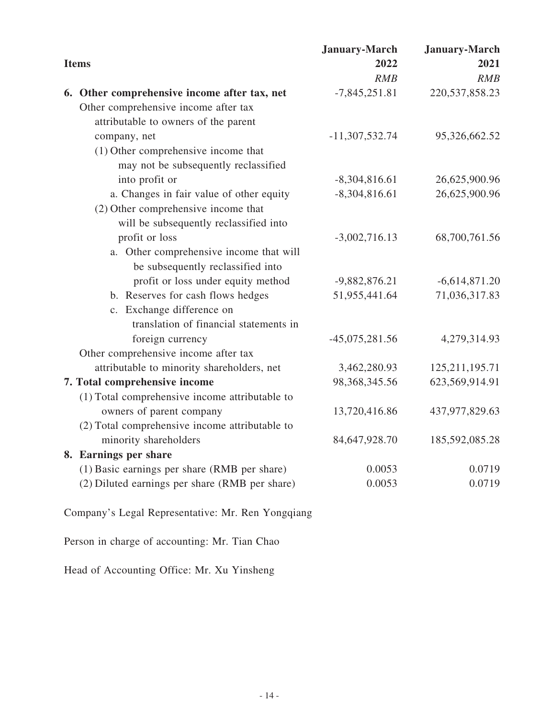|                                                | <b>January-March</b> | <b>January-March</b> |
|------------------------------------------------|----------------------|----------------------|
| <b>Items</b>                                   | 2022                 | 2021                 |
|                                                | RMB                  | RMB                  |
| 6. Other comprehensive income after tax, net   | $-7,845,251.81$      | 220, 537, 858. 23    |
| Other comprehensive income after tax           |                      |                      |
| attributable to owners of the parent           |                      |                      |
| company, net                                   | $-11,307,532.74$     | 95,326,662.52        |
| $(1)$ Other comprehensive income that          |                      |                      |
| may not be subsequently reclassified           |                      |                      |
| into profit or                                 | $-8,304,816.61$      | 26,625,900.96        |
| a. Changes in fair value of other equity       | $-8,304,816.61$      | 26,625,900.96        |
| (2) Other comprehensive income that            |                      |                      |
| will be subsequently reclassified into         |                      |                      |
| profit or loss                                 | $-3,002,716.13$      | 68,700,761.56        |
| a. Other comprehensive income that will        |                      |                      |
| be subsequently reclassified into              |                      |                      |
| profit or loss under equity method             | $-9,882,876.21$      | $-6,614,871.20$      |
| b. Reserves for cash flows hedges              | 51,955,441.64        | 71,036,317.83        |
| c. Exchange difference on                      |                      |                      |
| translation of financial statements in         |                      |                      |
| foreign currency                               | $-45,075,281.56$     | 4,279,314.93         |
| Other comprehensive income after tax           |                      |                      |
| attributable to minority shareholders, net     | 3,462,280.93         | 125, 211, 195. 71    |
| 7. Total comprehensive income                  | 98, 368, 345. 56     | 623,569,914.91       |
| (1) Total comprehensive income attributable to |                      |                      |
| owners of parent company                       | 13,720,416.86        | 437,977,829.63       |
| (2) Total comprehensive income attributable to |                      |                      |
| minority shareholders                          | 84,647,928.70        | 185,592,085.28       |
| 8. Earnings per share                          |                      |                      |
| (1) Basic earnings per share (RMB per share)   | 0.0053               | 0.0719               |
| (2) Diluted earnings per share (RMB per share) | 0.0053               | 0.0719               |
|                                                |                      |                      |

Person in charge of accounting: Mr. Tian Chao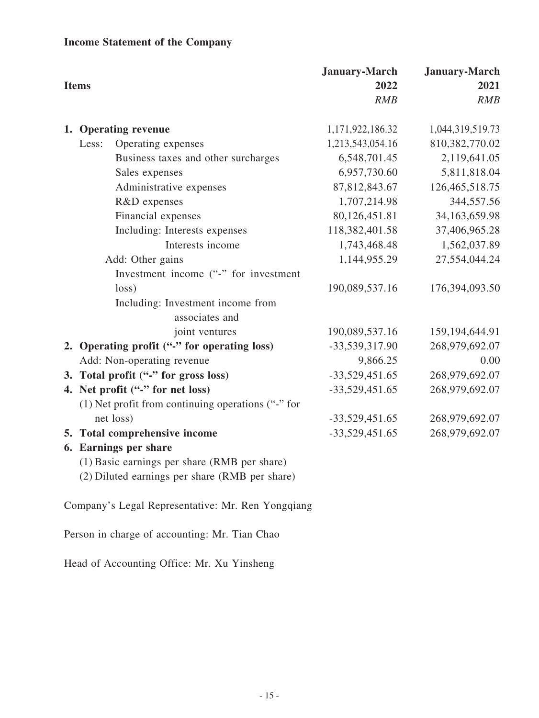# **Income Statement of the Company**

| <b>Items</b>                                                                                   | <b>January-March</b><br>2022<br>RMB | <b>January-March</b><br>2021<br>RMB |
|------------------------------------------------------------------------------------------------|-------------------------------------|-------------------------------------|
| 1. Operating revenue                                                                           | 1,171,922,186.32                    | 1,044,319,519.73                    |
| Operating expenses<br>Less:                                                                    | 1,213,543,054.16                    | 810,382,770.02                      |
| Business taxes and other surcharges                                                            | 6,548,701.45                        | 2,119,641.05                        |
| Sales expenses                                                                                 | 6,957,730.60                        | 5,811,818.04                        |
| Administrative expenses                                                                        | 87, 812, 843. 67                    | 126,465,518.75                      |
| R&D expenses                                                                                   | 1,707,214.98                        | 344,557.56                          |
| Financial expenses                                                                             | 80,126,451.81                       | 34,163,659.98                       |
| Including: Interests expenses                                                                  | 118,382,401.58                      | 37,406,965.28                       |
| Interests income                                                                               | 1,743,468.48                        | 1,562,037.89                        |
| Add: Other gains                                                                               | 1,144,955.29                        | 27,554,044.24                       |
| Investment income ("-" for investment                                                          |                                     |                                     |
| loss)                                                                                          | 190,089,537.16                      | 176,394,093.50                      |
| Including: Investment income from<br>associates and                                            |                                     |                                     |
| joint ventures                                                                                 | 190,089,537.16                      | 159, 194, 644. 91                   |
| 2. Operating profit ("-" for operating loss)                                                   | -33,539,317.90                      | 268,979,692.07                      |
| Add: Non-operating revenue                                                                     | 9,866.25                            | 0.00                                |
| 3. Total profit ("-" for gross loss)                                                           | $-33,529,451.65$                    | 268,979,692.07                      |
| 4. Net profit ("-" for net loss)                                                               | $-33,529,451.65$                    | 268,979,692.07                      |
| $(1)$ Net profit from continuing operations ("-" for                                           |                                     |                                     |
| net loss)                                                                                      | $-33,529,451.65$                    | 268,979,692.07                      |
| 5. Total comprehensive income                                                                  | $-33,529,451.65$                    | 268,979,692.07                      |
| 6. Earnings per share                                                                          |                                     |                                     |
| (1) Basic earnings per share (RMB per share)<br>(2) Diluted earnings per share (RMB per share) |                                     |                                     |

Company's Legal Representative: Mr. Ren Yongqiang

Person in charge of accounting: Mr. Tian Chao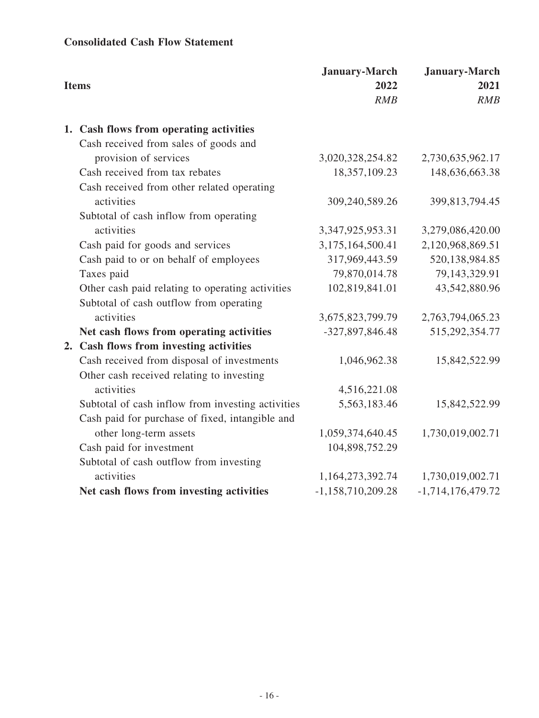# **Consolidated Cash Flow Statement**

| <b>Items</b>                                      | <b>January-March</b><br>2022<br>RMB | <b>January-March</b><br>2021<br>RMB |
|---------------------------------------------------|-------------------------------------|-------------------------------------|
| 1. Cash flows from operating activities           |                                     |                                     |
| Cash received from sales of goods and             |                                     |                                     |
| provision of services                             | 3,020,328,254.82                    | 2,730,635,962.17                    |
| Cash received from tax rebates                    | 18,357,109.23                       | 148,636,663.38                      |
| Cash received from other related operating        |                                     |                                     |
| activities                                        | 309,240,589.26                      | 399,813,794.45                      |
| Subtotal of cash inflow from operating            |                                     |                                     |
| activities                                        | 3,347,925,953.31                    | 3,279,086,420.00                    |
| Cash paid for goods and services                  | 3,175,164,500.41                    | 2,120,968,869.51                    |
| Cash paid to or on behalf of employees            | 317,969,443.59                      | 520,138,984.85                      |
| Taxes paid                                        | 79,870,014.78                       | 79,143,329.91                       |
| Other cash paid relating to operating activities  | 102,819,841.01                      | 43,542,880.96                       |
| Subtotal of cash outflow from operating           |                                     |                                     |
| activities                                        | 3,675,823,799.79                    | 2,763,794,065.23                    |
| Net cash flows from operating activities          | -327,897,846.48                     | 515,292,354.77                      |
| 2. Cash flows from investing activities           |                                     |                                     |
| Cash received from disposal of investments        | 1,046,962.38                        | 15,842,522.99                       |
| Other cash received relating to investing         |                                     |                                     |
| activities                                        | 4,516,221.08                        |                                     |
| Subtotal of cash inflow from investing activities | 5,563,183.46                        | 15,842,522.99                       |
| Cash paid for purchase of fixed, intangible and   |                                     |                                     |
| other long-term assets                            | 1,059,374,640.45                    | 1,730,019,002.71                    |
| Cash paid for investment                          | 104,898,752.29                      |                                     |
| Subtotal of cash outflow from investing           |                                     |                                     |
| activities                                        | 1,164,273,392.74                    | 1,730,019,002.71                    |
| Net cash flows from investing activities          | $-1,158,710,209.28$                 | $-1,714,176,479.72$                 |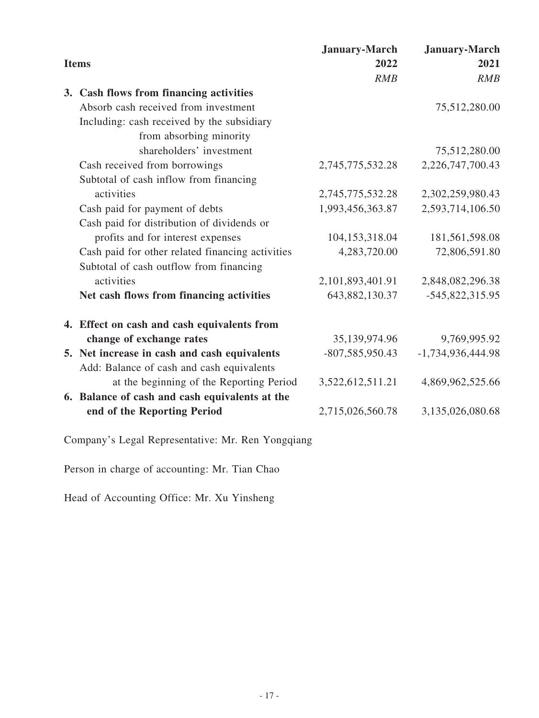|              |                                                   | <b>January-March</b> | <b>January-March</b> |
|--------------|---------------------------------------------------|----------------------|----------------------|
| <b>Items</b> |                                                   | 2022                 | 2021                 |
|              |                                                   | RMB                  | RMB                  |
|              | 3. Cash flows from financing activities           |                      |                      |
|              | Absorb cash received from investment              |                      | 75,512,280.00        |
|              | Including: cash received by the subsidiary        |                      |                      |
|              | from absorbing minority                           |                      |                      |
|              | shareholders' investment                          |                      | 75,512,280.00        |
|              | Cash received from borrowings                     | 2,745,775,532.28     | 2,226,747,700.43     |
|              | Subtotal of cash inflow from financing            |                      |                      |
|              | activities                                        | 2,745,775,532.28     | 2,302,259,980.43     |
|              | Cash paid for payment of debts                    | 1,993,456,363.87     | 2,593,714,106.50     |
|              | Cash paid for distribution of dividends or        |                      |                      |
|              | profits and for interest expenses                 | 104,153,318.04       | 181,561,598.08       |
|              | Cash paid for other related financing activities  | 4,283,720.00         | 72,806,591.80        |
|              | Subtotal of cash outflow from financing           |                      |                      |
|              | activities                                        | 2,101,893,401.91     | 2,848,082,296.38     |
|              | Net cash flows from financing activities          | 643,882,130.37       | $-545,822,315.95$    |
|              | 4. Effect on cash and cash equivalents from       |                      |                      |
|              | change of exchange rates                          | 35,139,974.96        | 9,769,995.92         |
|              | 5. Net increase in cash and cash equivalents      | -807,585,950.43      | $-1,734,936,444.98$  |
|              | Add: Balance of cash and cash equivalents         |                      |                      |
|              | at the beginning of the Reporting Period          | 3,522,612,511.21     | 4,869,962,525.66     |
|              | 6. Balance of cash and cash equivalents at the    |                      |                      |
|              | end of the Reporting Period                       | 2,715,026,560.78     | 3,135,026,080.68     |
|              | Company's Legal Representative: Mr. Ren Yongqiang |                      |                      |
|              | Person in charge of accounting: Mr. Tian Chao     |                      |                      |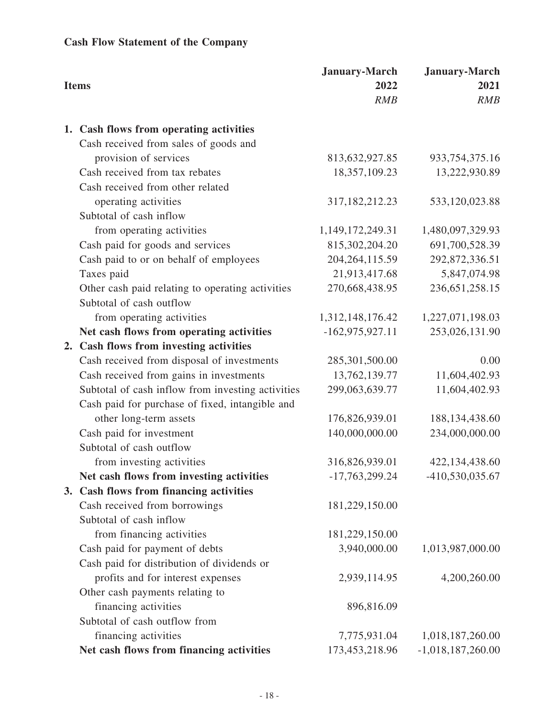# **Cash Flow Statement of the Company**

|    | <b>Items</b>                                      | <b>January-March</b><br>2022<br>RMB | <b>January-March</b><br>2021<br>RMB |
|----|---------------------------------------------------|-------------------------------------|-------------------------------------|
|    | 1. Cash flows from operating activities           |                                     |                                     |
|    | Cash received from sales of goods and             |                                     |                                     |
|    | provision of services                             | 813,632,927.85                      | 933, 754, 375. 16                   |
|    | Cash received from tax rebates                    | 18,357,109.23                       | 13,222,930.89                       |
|    | Cash received from other related                  |                                     |                                     |
|    | operating activities                              | 317, 182, 212. 23                   | 533,120,023.88                      |
|    | Subtotal of cash inflow                           |                                     |                                     |
|    | from operating activities                         | 1,149,172,249.31                    | 1,480,097,329.93                    |
|    | Cash paid for goods and services                  | 815,302,204.20                      | 691,700,528.39                      |
|    | Cash paid to or on behalf of employees            | 204, 264, 115.59                    | 292,872,336.51                      |
|    | Taxes paid                                        | 21,913,417.68                       | 5,847,074.98                        |
|    | Other cash paid relating to operating activities  | 270,668,438.95                      | 236, 651, 258. 15                   |
|    | Subtotal of cash outflow                          |                                     |                                     |
|    | from operating activities                         | 1,312,148,176.42                    | 1,227,071,198.03                    |
|    | Net cash flows from operating activities          | $-162,975,927.11$                   | 253,026,131.90                      |
| 2. | Cash flows from investing activities              |                                     |                                     |
|    | Cash received from disposal of investments        | 285,301,500.00                      | 0.00                                |
|    | Cash received from gains in investments           | 13,762,139.77                       | 11,604,402.93                       |
|    | Subtotal of cash inflow from investing activities | 299,063,639.77                      | 11,604,402.93                       |
|    | Cash paid for purchase of fixed, intangible and   |                                     |                                     |
|    | other long-term assets                            | 176,826,939.01                      | 188, 134, 438.60                    |
|    | Cash paid for investment                          | 140,000,000.00                      | 234,000,000.00                      |
|    | Subtotal of cash outflow                          |                                     |                                     |
|    | from investing activities                         | 316,826,939.01                      | 422,134,438.60                      |
|    | Net cash flows from investing activities          | $-17,763,299.24$                    | -410,530,035.67                     |
|    | 3. Cash flows from financing activities           |                                     |                                     |
|    | Cash received from borrowings                     | 181,229,150.00                      |                                     |
|    | Subtotal of cash inflow                           |                                     |                                     |
|    | from financing activities                         | 181,229,150.00                      |                                     |
|    | Cash paid for payment of debts                    | 3,940,000.00                        | 1,013,987,000.00                    |
|    | Cash paid for distribution of dividends or        |                                     |                                     |
|    | profits and for interest expenses                 | 2,939,114.95                        | 4,200,260.00                        |
|    | Other cash payments relating to                   |                                     |                                     |
|    | financing activities                              | 896,816.09                          |                                     |
|    | Subtotal of cash outflow from                     |                                     |                                     |
|    | financing activities                              | 7,775,931.04                        | 1,018,187,260.00                    |
|    | Net cash flows from financing activities          | 173,453,218.96                      | $-1,018,187,260.00$                 |